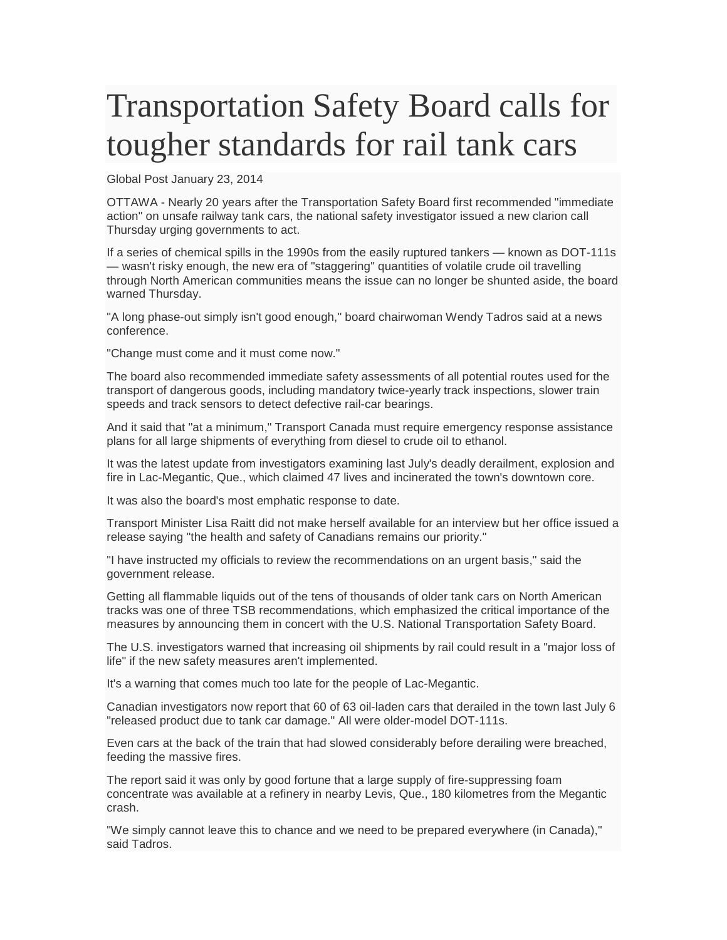## Transportation Safety Board calls for tougher standards for rail tank cars

Global Post January 23, 2014

OTTAWA - Nearly 20 years after the Transportation Safety Board first recommended "immediate action" on unsafe railway tank cars, the national safety investigator issued a new clarion call Thursday urging governments to act.

If a series of chemical spills in the 1990s from the easily ruptured tankers — known as DOT-111s — wasn't risky enough, the new era of "staggering" quantities of volatile crude oil travelling through North American communities means the issue can no longer be shunted aside, the board warned Thursday.

"A long phase-out simply isn't good enough," board chairwoman Wendy Tadros said at a news conference.

"Change must come and it must come now."

The board also recommended immediate safety assessments of all potential routes used for the transport of dangerous goods, including mandatory twice-yearly track inspections, slower train speeds and track sensors to detect defective rail-car bearings.

And it said that "at a minimum," Transport Canada must require emergency response assistance plans for all large shipments of everything from diesel to crude oil to ethanol.

It was the latest update from investigators examining last July's deadly derailment, explosion and fire in Lac-Megantic, Que., which claimed 47 lives and incinerated the town's downtown core.

It was also the board's most emphatic response to date.

Transport Minister Lisa Raitt did not make herself available for an interview but her office issued a release saying "the health and safety of Canadians remains our priority."

"I have instructed my officials to review the recommendations on an urgent basis," said the government release.

Getting all flammable liquids out of the tens of thousands of older tank cars on North American tracks was one of three TSB recommendations, which emphasized the critical importance of the measures by announcing them in concert with the U.S. National Transportation Safety Board.

The U.S. investigators warned that increasing oil shipments by rail could result in a "major loss of life" if the new safety measures aren't implemented.

It's a warning that comes much too late for the people of Lac-Megantic.

Canadian investigators now report that 60 of 63 oil-laden cars that derailed in the town last July 6 "released product due to tank car damage." All were older-model DOT-111s.

Even cars at the back of the train that had slowed considerably before derailing were breached, feeding the massive fires.

The report said it was only by good fortune that a large supply of fire-suppressing foam concentrate was available at a refinery in nearby Levis, Que., 180 kilometres from the Megantic crash.

"We simply cannot leave this to chance and we need to be prepared everywhere (in Canada)," said Tadros.